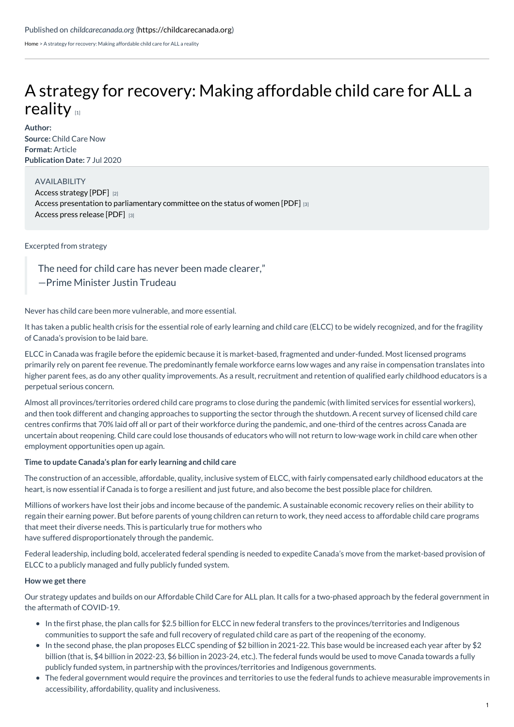[Home](https://childcarecanada.org/) > A strategy for recovery: Making affordable child care for ALL a reality

# A strategy for recovery: Making [affordable](https://childcarecanada.org/documents/research-policy-practice/20/07/strategy-recovery-making-affordable-child-care-all-reality) child care for ALL a reality  $\mathbf{u}$

**Author:**

**Source:** Child Care Now **Format:** Article **Publication Date:** 7 Jul 2020

#### AVAILABILITY

Access [strategy](https://timeforchildcare.ca/a-strategy-for-recovery-making-affordable-child-care-for-all-a-reality/) [PDF] [2] Access presentation to [parliamentary](https://timeforchildcare.ca/2020/07/07/child-care-now-presents-to-parliamentary-committee-on-the-status-of-women-on-the-lessons-of-covid-19/) committee on the status of women [PDF] [3] Access press [release](https://timeforchildcare.ca/2020/07/07/child-care-now-presents-to-parliamentary-committee-on-the-status-of-women-on-the-lessons-of-covid-19/) [PDF] [3]

## Excerpted from strategy

The need for child care has never been made clearer,"

—Prime Minister Justin Trudeau

Never has child care been more vulnerable, and more essential.

It has taken a public health crisis for the essential role of early learning and child care (ELCC) to be widely recognized, and for the fragility of Canada's provision to be laid bare.

ELCC in Canada was fragile before the epidemic because it is market-based, fragmented and under-funded. Most licensed programs primarily rely on parent fee revenue. The predominantly female workforce earns low wages and any raise in compensation translates into higher parent fees, as do any other quality improvements. As a result, recruitment and retention of qualified early childhood educators is a perpetual serious concern.

Almost all provinces/territories ordered child care programs to close during the pandemic (with limited services for essential workers), and then took different and changing approaches to supporting the sector through the shutdown. A recent survey of licensed child care centres confirms that 70% laid off all or part of their workforce during the pandemic, and one-third of the centres across Canada are uncertain about reopening. Child care could lose thousands of educators who will not return to low-wage work in child care when other employment opportunities open up again.

#### **Time to update Canada's plan for early learning and child care**

The construction of an accessible, affordable, quality, inclusive system of ELCC, with fairly compensated early childhood educators at the heart, is now essential if Canada is to forge a resilient and just future, and also become the best possible place for children.

Millions of workers have lost their jobs and income because of the pandemic. A sustainable economic recovery relies on their ability to regain their earning power. But before parents of young children can return to work, they need access to affordable child care programs that meet their diverse needs. This is particularly true for mothers who have suffered disproportionately through the pandemic.

Federal leadership, including bold, accelerated federal spending is needed to expedite Canada's move from the market-based provision of ELCC to a publicly managed and fully publicly funded system.

#### **How we get there**

Our strategy updates and builds on our Affordable Child Care for ALL plan. It calls for a two-phased approach by the federal government in the aftermath of COVID-19.

- In the first phase, the plan calls for \$2.5 billion for ELCC in new federal transfers to the provinces/territories and Indigenous communities to support the safe and full recovery of regulated child care as part of the reopening of the economy.
- In the second phase, the plan proposes ELCC spending of \$2 billion in 2021-22. This base would be increased each year after by \$2 billion (that is, \$4 billion in 2022-23, \$6 billion in 2023-24, etc.). The federal funds would be used to move Canada towards a fully publicly funded system, in partnership with the provinces/territories and Indigenous governments.
- The federal government would require the provinces and territories to use the federal funds to achieve measurable improvements in accessibility, affordability, quality and inclusiveness.